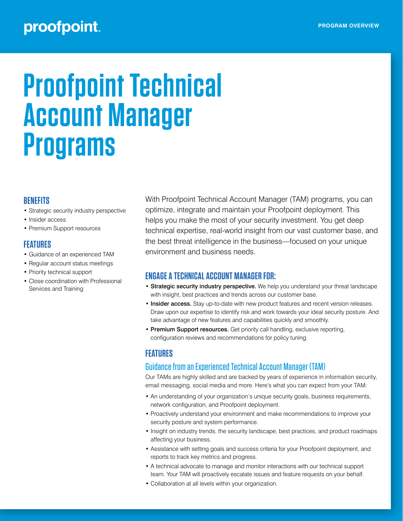# proofpoint.

# **Proofpoint Technical Account Manager Programs**

#### **BENEFITS**

- Strategic security industry perspective
- Insider access
- Premium Support resources

#### **FEATURES**

- Guidance of an experienced TAM
- Regular account status meetings
- Priority technical support
- Close coordination with Professional Services and Training

With Proofpoint Technical Account Manager (TAM) programs, you can optimize, integrate and maintain your Proofpoint deployment. This helps you make the most of your security investment. You get deep technical expertise, real-world insight from our vast customer base, and the best threat intelligence in the business—focused on your unique environment and business needs.

#### **ENGAGE A TECHNICAL ACCOUNT MANAGER FOR:**

- Strategic security industry perspective. We help you understand your threat landscape with insight, best practices and trends across our customer base.
- Insider access. Stay up-to-date with new product features and recent version releases. Draw upon our expertise to identify risk and work towards your ideal security posture. And take advantage of new features and capabilities quickly and smoothly.
- Premium Support resources. Get priority call handling, exclusive reporting, configuration reviews and recommendations for policy tuning.

#### **FEATURES**

#### Guidance from an Experienced Technical Account Manager (TAM)

Our TAMs are highly skilled and are backed by years of experience in information security, email messaging, social media and more. Here's what you can expect from your TAM:

- An understanding of your organization's unique security goals, business requirements, network configuration, and Proofpoint deployment.
- Proactively understand your environment and make recommendations to improve your security posture and system performance.
- Insight on industry trends, the security landscape, best practices, and product roadmaps affecting your business.
- Assistance with setting goals and success criteria for your Proofpoint deployment, and reports to track key metrics and progress.
- A technical advocate to manage and monitor interactions with our technical support team. Your TAM will proactively escalate issues and feature requests on your behalf.
- Collaboration at all levels within your organization.